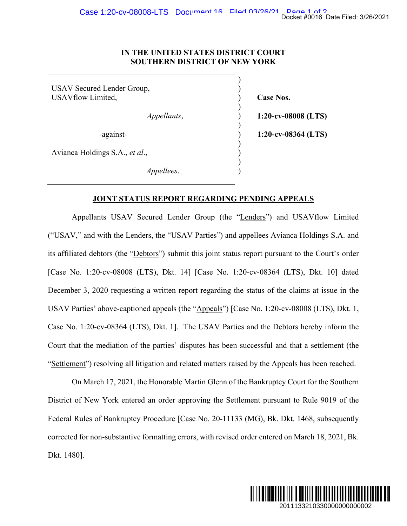### **IN THE UNITED STATES DISTRICT COURT SOUTHERN DISTRICT OF NEW YORK**

 $)$ USAV Secured Lender Group, ) USAVflow Limited,  $\qquad \qquad$  (ase Nos.  $)$  *Appellants*, ) **1:20-cv-08008 (LTS)**   $)$  -against- ) **1:20-cv-08364 (LTS)**   $)$ Avianca Holdings S.A., *et al*., )  $\overline{\phantom{a}}$ *Appellees*. )

### **JOINT STATUS REPORT REGARDING PENDING APPEALS**

Appellants USAV Secured Lender Group (the "Lenders") and USAVflow Limited ("USAV," and with the Lenders, the "USAV Parties") and appellees Avianca Holdings S.A. and its affiliated debtors (the "Debtors") submit this joint status report pursuant to the Court's order [Case No. 1:20-cv-08008 (LTS), Dkt. 14] [Case No. 1:20-cv-08364 (LTS), Dkt. 10] dated December 3, 2020 requesting a written report regarding the status of the claims at issue in the USAV Parties' above-captioned appeals (the "Appeals") [Case No. 1:20-cv-08008 (LTS), Dkt. 1, Case No. 1:20-cv-08364 (LTS), Dkt. 1]. The USAV Parties and the Debtors hereby inform the Court that the mediation of the parties' disputes has been successful and that a settlement (the "Settlement") resolving all litigation and related matters raised by the Appeals has been reached. Docket #0016 Date Filed: 3/26/2021<br> **2013**<br> **20133644 (LTS)**<br> **20133644 (LTS)**<br> **20133644 (LTS)**<br> **2014**<br> **2014**<br> **2014**<br> **2014 2024**<br> **2014**<br> **2014**<br> **2020**<br> **2020**<br> **2020**<br> **2020**<br> **2020**<br> **2020**<br> **2020**<br> **2020**<br> **202** 

On March 17, 2021, the Honorable Martin Glenn of the Bankruptcy Court for the Southern District of New York entered an order approving the Settlement pursuant to Rule 9019 of the Federal Rules of Bankruptcy Procedure [Case No. 20-11133 (MG), Bk. Dkt. 1468, subsequently corrected for non-substantive formatting errors, with revised order entered on March 18, 2021, Bk. Dkt. 1480].